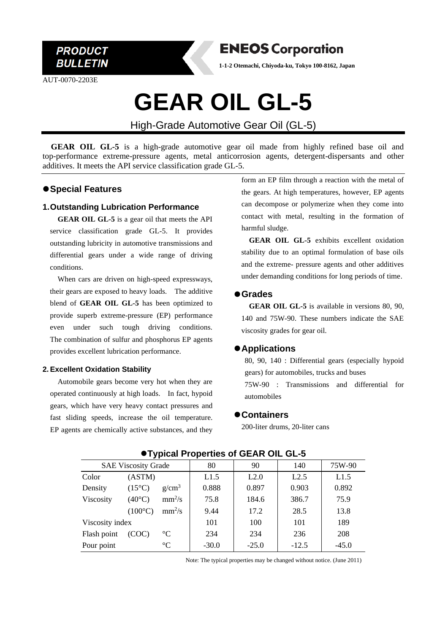

AUT-0070-2203E



**1-1-2 Otemachi, Chiyoda-ku, Tokyo 100-8162, Japan**

# **GEAR OIL GL-5**

High-Grade Automotive Gear Oil (GL-5)

**GEAR OIL GL-5** is a high-grade automotive gear oil made from highly refined base oil and top-performance extreme-pressure agents, metal anticorrosion agents, detergent-dispersants and other additives. It meets the API service classification grade GL-5.

# ⚫**Special Features**

### **1.Outstanding Lubrication Performance**

**GEAR OIL GL-5** is a gear oil that meets the API service classification grade GL-5. It provides outstanding lubricity in automotive transmissions and differential gears under a wide range of driving conditions.

When cars are driven on high-speed expressways, their gears are exposed to heavy loads. The additive blend of **GEAR OIL GL-5** has been optimized to provide superb extreme-pressure (EP) performance even under such tough driving conditions. The combination of sulfur and phosphorus EP agents provides excellent lubrication performance.

### **2. Excellent Oxidation Stability**

Automobile gears become very hot when they are operated continuously at high loads. In fact, hypoid gears, which have very heavy contact pressures and fast sliding speeds, increase the oil temperature. EP agents are chemically active substances, and they

form an EP film through a reaction with the metal of the gears. At high temperatures, however, EP agents can decompose or polymerize when they come into contact with metal, resulting in the formation of harmful sludge.

**GEAR OIL GL-5** exhibits excellent oxidation stability due to an optimal formulation of base oils and the extreme- pressure agents and other additives under demanding conditions for long periods of time.

## ⚫**Grades**

**GEAR OIL GL-5** is available in versions 80, 90, 140 and 75W-90. These numbers indicate the SAE viscosity grades for gear oil.

# ⚫**Applications**

80, 90, 140 : Differential gears (especially hypoid gears) for automobiles, trucks and buses 75W-90 : Transmissions and differential for automobiles

### ⚫**Containers**

200-liter drums, 20-liter cans

| . .                        |                  |                   |         |         |         |         |
|----------------------------|------------------|-------------------|---------|---------|---------|---------|
| <b>SAE Viscosity Grade</b> |                  |                   | 80      | 90      | 140     | 75W-90  |
| Color                      | (ASTM)           |                   | L1.5    | L2.0    | L2.5    | L1.5    |
| Density                    | $(15^{\circ}C)$  | g/cm <sup>3</sup> | 0.888   | 0.897   | 0.903   | 0.892   |
| Viscosity                  | $(40^{\circ}C)$  | $mm^2/s$          | 75.8    | 184.6   | 386.7   | 75.9    |
|                            | $(100^{\circ}C)$ | $mm^2/s$          | 9.44    | 17.2    | 28.5    | 13.8    |
| Viscosity index            |                  |                   | 101     | 100     | 101     | 189     |
| Flash point                | (COC)            | $\rm ^{\circ}C$   | 234     | 234     | 236     | 208     |
| Pour point                 |                  | $^{\circ}C$       | $-30.0$ | $-25.0$ | $-12.5$ | $-45.0$ |

### ⚫**Typical Properties of GEAR OIL GL-5**

Note: The typical properties may be changed without notice. (June 2011)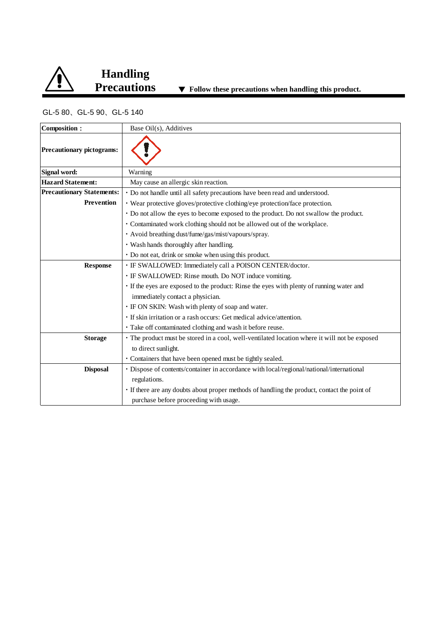

# GL-5 80、GL-5 90、GL-5 140

| <b>Composition:</b>              | Base Oil(s), Additives                                                                        |  |  |  |
|----------------------------------|-----------------------------------------------------------------------------------------------|--|--|--|
| <b>Precautionary pictograms:</b> |                                                                                               |  |  |  |
| Signal word:                     | Warning                                                                                       |  |  |  |
| <b>Hazard Statement:</b>         | May cause an allergic skin reaction.                                                          |  |  |  |
| <b>Precautionary Statements:</b> | · Do not handle until all safety precautions have been read and understood.                   |  |  |  |
| Prevention                       | · Wear protective gloves/protective clothing/eye protection/face protection.                  |  |  |  |
|                                  | • Do not allow the eyes to become exposed to the product. Do not swallow the product.         |  |  |  |
|                                  | • Contaminated work clothing should not be allowed out of the workplace.                      |  |  |  |
|                                  | • Avoid breathing dust/fume/gas/mist/vapours/spray.                                           |  |  |  |
|                                  | · Wash hands thoroughly after handling.                                                       |  |  |  |
|                                  | • Do not eat, drink or smoke when using this product.                                         |  |  |  |
| <b>Response</b>                  | · IF SWALLOWED: Immediately call a POISON CENTER/doctor.                                      |  |  |  |
|                                  | · IF SWALLOWED: Rinse mouth. Do NOT induce vomiting.                                          |  |  |  |
|                                  | • If the eyes are exposed to the product: Rinse the eyes with plenty of running water and     |  |  |  |
|                                  | immediately contact a physician.                                                              |  |  |  |
|                                  | · IF ON SKIN: Wash with plenty of soap and water.                                             |  |  |  |
|                                  | · If skin irritation or a rash occurs: Get medical advice/attention.                          |  |  |  |
|                                  | · Take off contaminated clothing and wash it before reuse.                                    |  |  |  |
| <b>Storage</b>                   | • The product must be stored in a cool, well-ventilated location where it will not be exposed |  |  |  |
|                                  | to direct sunlight.                                                                           |  |  |  |
|                                  | · Containers that have been opened must be tightly sealed.                                    |  |  |  |
| <b>Disposal</b>                  | · Dispose of contents/container in accordance with local/regional/national/international      |  |  |  |
|                                  | regulations.                                                                                  |  |  |  |
|                                  | · If there are any doubts about proper methods of handling the product, contact the point of  |  |  |  |
|                                  | purchase before proceeding with usage.                                                        |  |  |  |